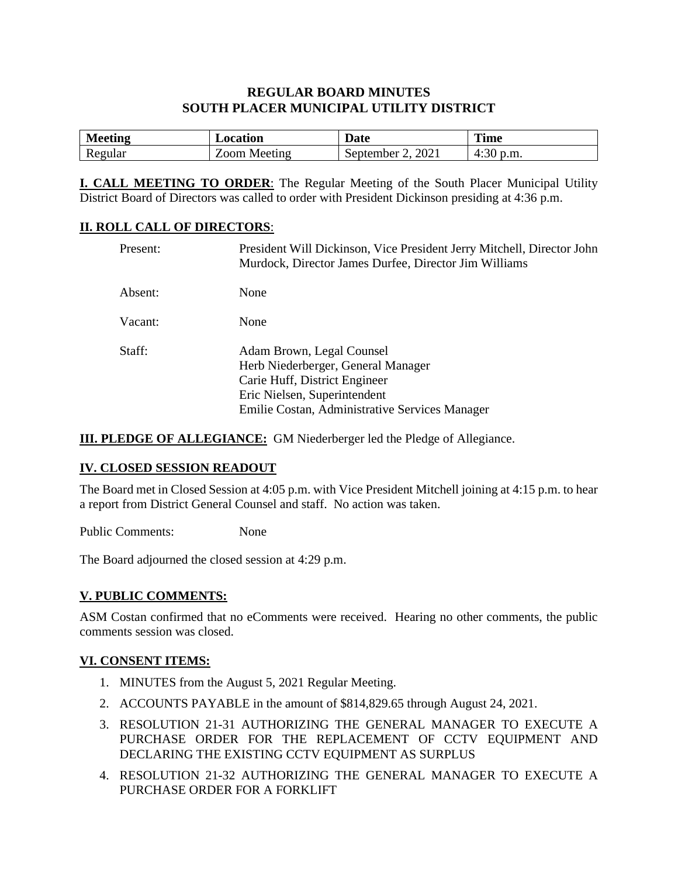### **REGULAR BOARD MINUTES SOUTH PLACER MUNICIPAL UTILITY DISTRICT**

| <b>Meeting</b> | Location | $\blacksquare$<br>Date | <b>Time</b>        |
|----------------|----------|------------------------|--------------------|
| Regular        | Meeting  | 2021                   | $\mathfrak{b}.m$ . |
|                | $\Omega$ | September              | $4:30^{\circ}$     |

**I. CALL MEETING TO ORDER**: The Regular Meeting of the South Placer Municipal Utility District Board of Directors was called to order with President Dickinson presiding at 4:36 p.m.

#### **II. ROLL CALL OF DIRECTORS**:

| Present: | President Will Dickinson, Vice President Jerry Mitchell, Director John<br>Murdock, Director James Durfee, Director Jim Williams                                                    |
|----------|------------------------------------------------------------------------------------------------------------------------------------------------------------------------------------|
| Absent:  | None                                                                                                                                                                               |
| Vacant:  | None                                                                                                                                                                               |
| Staff:   | Adam Brown, Legal Counsel<br>Herb Niederberger, General Manager<br>Carie Huff, District Engineer<br>Eric Nielsen, Superintendent<br>Emilie Costan, Administrative Services Manager |

**III. PLEDGE OF ALLEGIANCE:** GM Niederberger led the Pledge of Allegiance.

#### **IV. CLOSED SESSION READOUT**

The Board met in Closed Session at 4:05 p.m. with Vice President Mitchell joining at 4:15 p.m. to hear a report from District General Counsel and staff. No action was taken.

Public Comments: None

The Board adjourned the closed session at 4:29 p.m.

#### **V. PUBLIC COMMENTS:**

ASM Costan confirmed that no eComments were received. Hearing no other comments, the public comments session was closed.

## **VI. CONSENT ITEMS:**

- 1. MINUTES from the August 5, 2021 Regular Meeting.
- 2. ACCOUNTS PAYABLE in the amount of \$814,829.65 through August 24, 2021.
- 3. RESOLUTION 21-31 AUTHORIZING THE GENERAL MANAGER TO EXECUTE A PURCHASE ORDER FOR THE REPLACEMENT OF CCTV EQUIPMENT AND DECLARING THE EXISTING CCTV EQUIPMENT AS SURPLUS
- 4. RESOLUTION 21-32 AUTHORIZING THE GENERAL MANAGER TO EXECUTE A PURCHASE ORDER FOR A FORKLIFT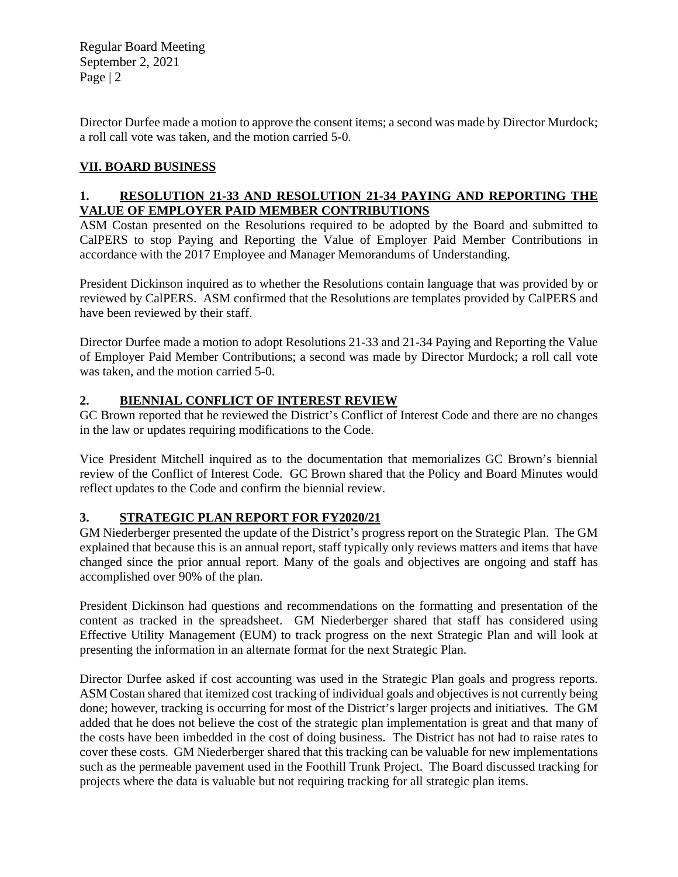Regular Board Meeting September 2, 2021 Page | 2

Director Durfee made a motion to approve the consent items; a second was made by Director Murdock; a roll call vote was taken, and the motion carried 5-0.

### **VII. BOARD BUSINESS**

#### **1. RESOLUTION 21-33 AND RESOLUTION 21-34 PAYING AND REPORTING THE VALUE OF EMPLOYER PAID MEMBER CONTRIBUTIONS**

ASM Costan presented on the Resolutions required to be adopted by the Board and submitted to CalPERS to stop Paying and Reporting the Value of Employer Paid Member Contributions in accordance with the 2017 Employee and Manager Memorandums of Understanding.

President Dickinson inquired as to whether the Resolutions contain language that was provided by or reviewed by CalPERS. ASM confirmed that the Resolutions are templates provided by CalPERS and have been reviewed by their staff.

Director Durfee made a motion to adopt Resolutions 21-33 and 21-34 Paying and Reporting the Value of Employer Paid Member Contributions; a second was made by Director Murdock; a roll call vote was taken, and the motion carried 5-0.

### **2. BIENNIAL CONFLICT OF INTEREST REVIEW**

GC Brown reported that he reviewed the District's Conflict of Interest Code and there are no changes in the law or updates requiring modifications to the Code.

Vice President Mitchell inquired as to the documentation that memorializes GC Brown's biennial review of the Conflict of Interest Code. GC Brown shared that the Policy and Board Minutes would reflect updates to the Code and confirm the biennial review.

#### **3. STRATEGIC PLAN REPORT FOR FY2020/21**

GM Niederberger presented the update of the District's progress report on the Strategic Plan. The GM explained that because this is an annual report, staff typically only reviews matters and items that have changed since the prior annual report. Many of the goals and objectives are ongoing and staff has accomplished over 90% of the plan.

President Dickinson had questions and recommendations on the formatting and presentation of the content as tracked in the spreadsheet. GM Niederberger shared that staff has considered using Effective Utility Management (EUM) to track progress on the next Strategic Plan and will look at presenting the information in an alternate format for the next Strategic Plan.

Director Durfee asked if cost accounting was used in the Strategic Plan goals and progress reports. ASM Costan shared that itemized cost tracking of individual goals and objectives is not currently being done; however, tracking is occurring for most of the District's larger projects and initiatives. The GM added that he does not believe the cost of the strategic plan implementation is great and that many of the costs have been imbedded in the cost of doing business. The District has not had to raise rates to cover these costs. GM Niederberger shared that this tracking can be valuable for new implementations such as the permeable pavement used in the Foothill Trunk Project. The Board discussed tracking for projects where the data is valuable but not requiring tracking for all strategic plan items.